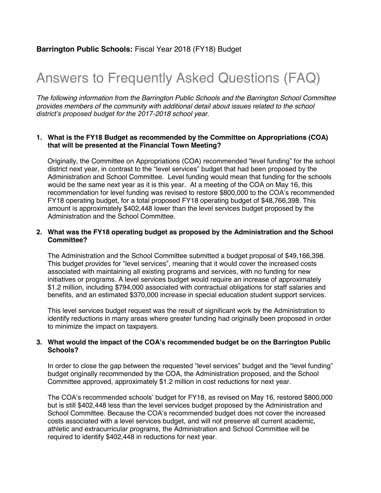# Answers to Frequently Asked Questions (FAQ)

*The following information from the Barrington Public Schools and the Barrington School Committee provides members of the community with additional detail about issues related to the school district's proposed budget for the 2017-2018 school year.*

#### **1. What is the FY18 Budget as recommended by the Committee on Appropriations (COA) that will be presented at the Financial Town Meeting?**

Originally, the Committee on Appropriations (COA) recommended "level funding" for the school district next year, in contrast to the "level services" budget that had been proposed by the Administration and School Committee. Level funding would mean that funding for the schools would be the same next year as it is this year. At a meeting of the COA on May 16, this recommendation for level funding was revised to restore \$800,000 to the COA's recommended FY18 operating budget, for a total proposed FY18 operating budget of \$48,766,398. This amount is approximately \$402,448 lower than the level services budget proposed by the Administration and the School Committee.

## **2. What was the FY18 operating budget as proposed by the Administration and the School Committee?**

The Administration and the School Committee submitted a budget proposal of \$49,166,398. This budget provides for "level services", meaning that it would cover the increased costs associated with maintaining all existing programs and services, with no funding for new initiatives or programs. A level services budget would require an increase of approximately \$1.2 million, including \$794,000 associated with contractual obligations for staff salaries and benefits, and an estimated \$370,000 increase in special education student support services.

This level services budget request was the result of significant work by the Administration to identify reductions in many areas where greater funding had originally been proposed in order to minimize the impact on taxpayers.

## **3. What would the impact of the COA's recommended budget be on the Barrington Public Schools?**

In order to close the gap between the requested "level services" budget and the "level funding" budget originally recommended by the COA, the Administration proposed, and the School Committee approved, approximately \$1.2 million in cost reductions for next year.

The COA's recommended schools' budget for FY18, as revised on May 16, restored \$800,000 but is still \$402,448 less than the level services budget proposed by the Administration and School Committee. Because the COA's recommended budget does not cover the increased costs associated with a level services budget, and will not preserve all current academic, athletic and extracurricular programs, the Administration and School Committee will be required to identify \$402,448 in reductions for next year.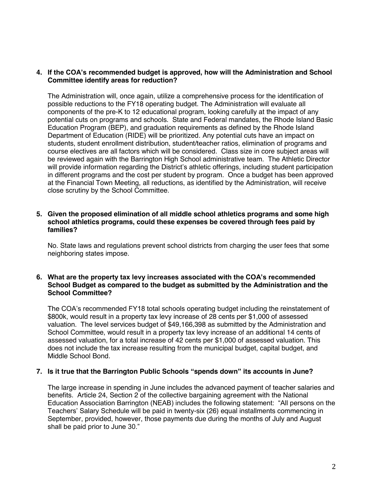## **4. If the COA's recommended budget is approved, how will the Administration and School Committee identify areas for reduction?**

The Administration will, once again, utilize a comprehensive process for the identification of possible reductions to the FY18 operating budget. The Administration will evaluate all components of the pre-K to 12 educational program, looking carefully at the impact of any potential cuts on programs and schools. State and Federal mandates, the Rhode Island Basic Education Program (BEP), and graduation requirements as defined by the Rhode Island Department of Education (RIDE) will be prioritized. Any potential cuts have an impact on students, student enrollment distribution, student/teacher ratios, elimination of programs and course electives are all factors which will be considered. Class size in core subject areas will be reviewed again with the Barrington High School administrative team. The Athletic Director will provide information regarding the District's athletic offerings, including student participation in different programs and the cost per student by program. Once a budget has been approved at the Financial Town Meeting, all reductions, as identified by the Administration, will receive close scrutiny by the School Committee.

#### **5. Given the proposed elimination of all middle school athletics programs and some high school athletics programs, could these expenses be covered through fees paid by families?**

No. State laws and regulations prevent school districts from charging the user fees that some neighboring states impose.

#### **6. What are the property tax levy increases associated with the COA's recommended School Budget as compared to the budget as submitted by the Administration and the School Committee?**

The COA's recommended FY18 total schools operating budget including the reinstatement of \$800k, would result in a property tax levy increase of 28 cents per \$1,000 of assessed valuation. The level services budget of \$49,166,398 as submitted by the Administration and School Committee, would result in a property tax levy increase of an additional 14 cents of assessed valuation, for a total increase of 42 cents per \$1,000 of assessed valuation. This does not include the tax increase resulting from the municipal budget, capital budget, and Middle School Bond.

#### **7. Is it true that the Barrington Public Schools "spends down" its accounts in June?**

The large increase in spending in June includes the advanced payment of teacher salaries and benefits. Article 24, Section 2 of the collective bargaining agreement with the National Education Association Barrington (NEAB) includes the following statement: "All persons on the Teachers' Salary Schedule will be paid in twenty-six (26) equal installments commencing in September, provided, however, those payments due during the months of July and August shall be paid prior to June 30."